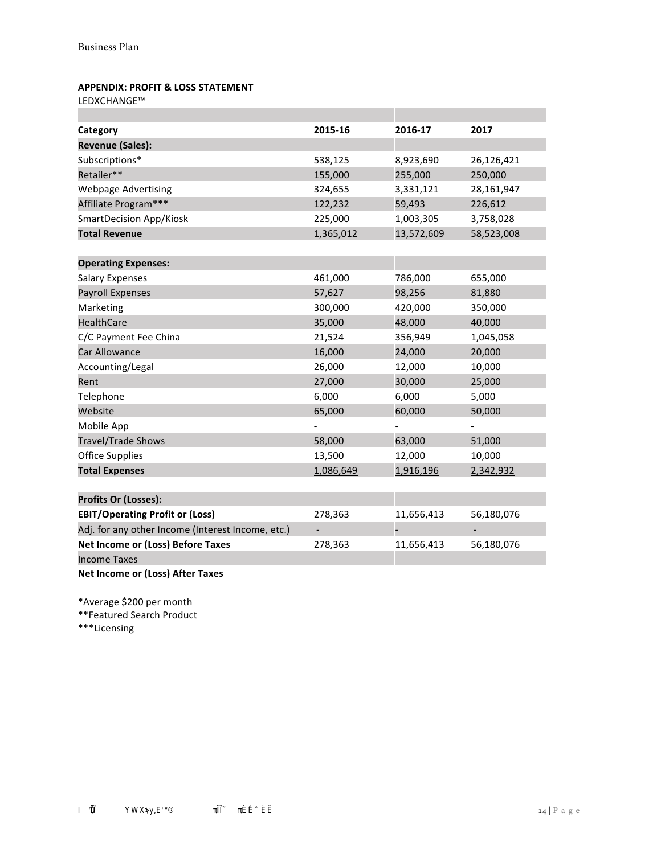## **APPENDIX: PROFIT & LOSS STATEMENT**

LEDXCHANGE™

| Category                                          | 2015-16   | 2016-17    | 2017       |
|---------------------------------------------------|-----------|------------|------------|
| <b>Revenue (Sales):</b>                           |           |            |            |
| Subscriptions*                                    | 538,125   | 8,923,690  | 26,126,421 |
| Retailer**                                        | 155,000   | 255,000    | 250,000    |
| <b>Webpage Advertising</b>                        | 324,655   | 3,331,121  | 28,161,947 |
| Affiliate Program***                              | 122,232   | 59,493     | 226,612    |
| <b>SmartDecision App/Kiosk</b>                    | 225,000   | 1,003,305  | 3,758,028  |
| <b>Total Revenue</b>                              | 1,365,012 | 13,572,609 | 58,523,008 |
|                                                   |           |            |            |
| <b>Operating Expenses:</b>                        |           |            |            |
| <b>Salary Expenses</b>                            | 461,000   | 786,000    | 655,000    |
| <b>Payroll Expenses</b>                           | 57,627    | 98,256     | 81,880     |
| Marketing                                         | 300,000   | 420,000    | 350,000    |
| <b>HealthCare</b>                                 | 35,000    | 48,000     | 40,000     |
| C/C Payment Fee China                             | 21,524    | 356,949    | 1,045,058  |
| Car Allowance                                     | 16,000    | 24,000     | 20,000     |
| Accounting/Legal                                  | 26,000    | 12,000     | 10,000     |
| Rent                                              | 27,000    | 30,000     | 25,000     |
| Telephone                                         | 6,000     | 6,000      | 5,000      |
| Website                                           | 65,000    | 60,000     | 50,000     |
| Mobile App                                        |           |            |            |
| <b>Travel/Trade Shows</b>                         | 58,000    | 63,000     | 51,000     |
| <b>Office Supplies</b>                            | 13,500    | 12,000     | 10,000     |
| <b>Total Expenses</b>                             | 1,086,649 | 1,916,196  | 2,342,932  |
|                                                   |           |            |            |
| <b>Profits Or (Losses):</b>                       |           |            |            |
| <b>EBIT/Operating Profit or (Loss)</b>            | 278,363   | 11,656,413 | 56,180,076 |
| Adj. for any other Income (Interest Income, etc.) |           |            |            |
| Net Income or (Loss) Before Taxes                 | 278,363   | 11,656,413 | 56,180,076 |
| <b>Income Taxes</b>                               |           |            |            |
|                                                   |           |            |            |

**Net Income or (Loss) After Taxes** 

\*Average \$200 per month

\*\*Featured Search Product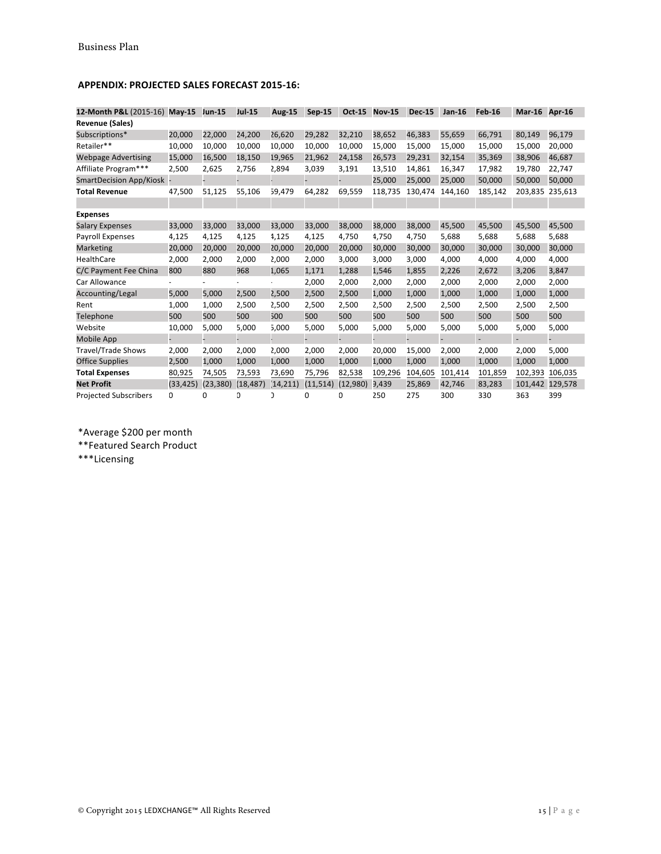## **APPENDIX: PROJECTED SALES FORECAST 2015-16:**

| 12-Month P&L (2015-16)       | $May-15$  | <b>Jun-15</b> | <b>Jul-15</b> | Aug-15    | Sep-15    | Oct-15   | <b>Nov-15</b> | <b>Dec-15</b> | $Jan-16$ | <b>Feb-16</b> | <b>Mar-16</b> | Apr-16  |
|------------------------------|-----------|---------------|---------------|-----------|-----------|----------|---------------|---------------|----------|---------------|---------------|---------|
| <b>Revenue (Sales)</b>       |           |               |               |           |           |          |               |               |          |               |               |         |
| Subscriptions*               | 20,000    | 22,000        | 24,200        | 26,620    | 29,282    | 32,210   | 38,652        | 46,383        | 55,659   | 66,791        | 80,149        | 96,179  |
| Retailer**                   | 10,000    | 10,000        | 10,000        | 10,000    | 10,000    | 10,000   | 15,000        | 15,000        | 15,000   | 15,000        | 15,000        | 20,000  |
| <b>Webpage Advertising</b>   | 15,000    | 16,500        | 18,150        | 19,965    | 21,962    | 24,158   | 26,573        | 29,231        | 32,154   | 35,369        | 38,906        | 46,687  |
| Affiliate Program***         | 2,500     | 2,625         | 2,756         | 2,894     | 3,039     | 3,191    | 13,510        | 14,861        | 16,347   | 17,982        | 19,780        | 22,747  |
| SmartDecision App/Kiosk      |           |               |               |           |           |          | 25,000        | 25,000        | 25,000   | 50,000        | 50,000        | 50,000  |
| <b>Total Revenue</b>         | 47,500    | 51,125        | 55,106        | 59,479    | 64,282    | 69,559   | 118,735       | 130,474       | 144,160  | 185,142       | 203.835       | 235,613 |
|                              |           |               |               |           |           |          |               |               |          |               |               |         |
| <b>Expenses</b>              |           |               |               |           |           |          |               |               |          |               |               |         |
| <b>Salary Expenses</b>       | 33,000    | 33,000        | 33,000        | 33,000    | 33,000    | 38,000   | 38,000        | 38,000        | 45,500   | 45,500        | 45,500        | 45,500  |
| <b>Payroll Expenses</b>      | 4,125     | 4,125         | 4,125         | 4,125     | 4,125     | 4,750    | 4,750         | 4,750         | 5,688    | 5,688         | 5,688         | 5,688   |
| Marketing                    | 20,000    | 20,000        | 20,000        | 20,000    | 20,000    | 20,000   | 30,000        | 30,000        | 30,000   | 30,000        | 30,000        | 30,000  |
| HealthCare                   | 2,000     | 2,000         | 2,000         | 2,000     | 2,000     | 3,000    | 3,000         | 3,000         | 4,000    | 4,000         | 4,000         | 4,000   |
| C/C Payment Fee China        | 800       | 880           | 968           | 1,065     | 1,171     | 1,288    | 1,546         | 1,855         | 2,226    | 2,672         | 3,206         | 3,847   |
| Car Allowance                |           |               |               |           | 2,000     | 2,000    | 2,000         | 2,000         | 2,000    | 2,000         | 2,000         | 2,000   |
| Accounting/Legal             | 5,000     | 5,000         | 2,500         | 2,500     | 2,500     | 2,500    | 1,000         | 1,000         | 1,000    | 1,000         | 1,000         | 1,000   |
| Rent                         | 1,000     | 1,000         | 2,500         | 2,500     | 2,500     | 2,500    | 2,500         | 2,500         | 2,500    | 2,500         | 2,500         | 2,500   |
| Telephone                    | 500       | 500           | 500           | 500       | 500       | 500      | 500           | 500           | 500      | 500           | 500           | 500     |
| Website                      | 10,000    | 5,000         | 5,000         | 5,000     | 5,000     | 5,000    | 5,000         | 5,000         | 5,000    | 5,000         | 5,000         | 5,000   |
| Mobile App                   |           |               |               |           |           |          |               |               |          |               |               |         |
| <b>Travel/Trade Shows</b>    | 2,000     | 2,000         | 2,000         | 2,000     | 2,000     | 2,000    | 20,000        | 15,000        | 2,000    | 2,000         | 2,000         | 5,000   |
| <b>Office Supplies</b>       | 2,500     | 1,000         | 1,000         | 1,000     | 1,000     | 1,000    | 1,000         | 1,000         | 1,000    | 1,000         | 1,000         | 1,000   |
| <b>Total Expenses</b>        | 80,925    | 74,505        | 73,593        | 73,690    | 75,796    | 82,538   | 109,296       | 104,605       | 101,414  | 101,859       | 102,393       | 106,035 |
| <b>Net Profit</b>            | (33, 425) | (23, 380)     | (18, 487)     | (14, 211) | (11, 514) | (12,980) | 9,439         | 25,869        | 42,746   | 83,283        | 101,442       | 129,578 |
| <b>Projected Subscribers</b> | 0         | O.            | D             |           | 0         | O.       | 250           | 275           | 300      | 330           | 363           | 399     |

\*Average \$200 per month

\*\*Featured Search Product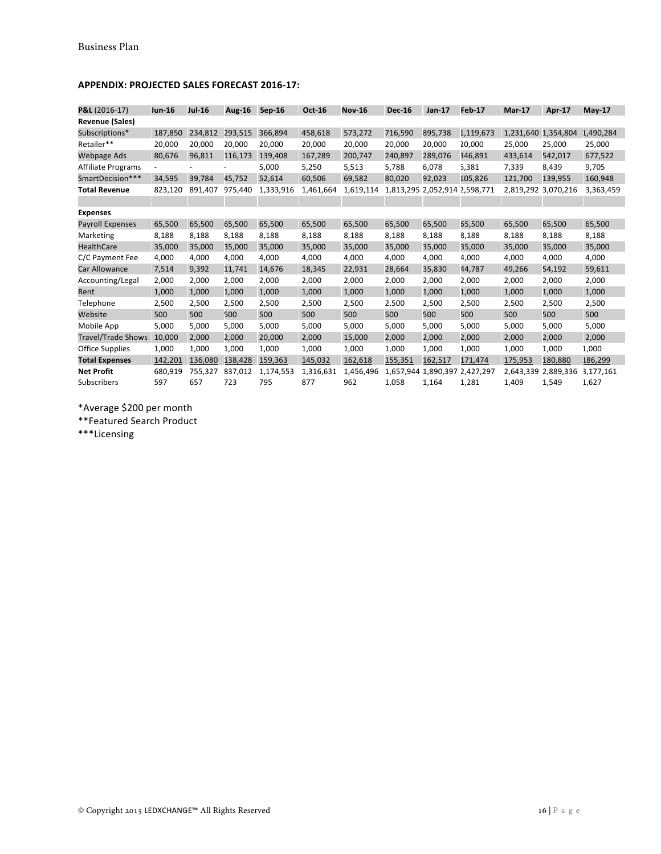| P&L (2016-17)             | <b>Jun-16</b> | <b>Jul-16</b>            | Aug-16  | $Sep-16$  | Oct-16    | <b>Nov-16</b> | <b>Dec-16</b> | Jan-17                        | <b>Feb-17</b> | <b>Mar-17</b>       | Apr-17              | $May-17$  |
|---------------------------|---------------|--------------------------|---------|-----------|-----------|---------------|---------------|-------------------------------|---------------|---------------------|---------------------|-----------|
| <b>Revenue (Sales)</b>    |               |                          |         |           |           |               |               |                               |               |                     |                     |           |
| Subscriptions*            | 187,850       | 234,812                  | 293,515 | 366,894   | 458,618   | 573,272       | 716,590       | 895,738                       | 1,119,673     | 1,231,640 1,354,804 |                     | 1,490,284 |
| Retailer**                | 20,000        | 20,000                   | 20,000  | 20.000    | 20,000    | 20,000        | 20,000        | 20,000                        | 20,000        | 25,000              | 25,000              | 25,000    |
| Webpage Ads               | 80,676        | 96,811                   | 116,173 | 139,408   | 167,289   | 200,747       | 240,897       | 289,076                       | 346,891       | 433,614             | 542,017             | 677,522   |
| Affiliate Programs        |               | $\overline{\phantom{a}}$ |         | 5,000     | 5,250     | 5,513         | 5,788         | 6,078                         | 5,381         | 7,339               | 8,439               | 9,705     |
| SmartDecision***          | 34,595        | 39,784                   | 45,752  | 52,614    | 60,506    | 69,582        | 80,020        | 92,023                        | 105,826       | 121,700             | 139,955             | 160,948   |
| <b>Total Revenue</b>      | 823,120       | 891,407                  | 975,440 | 1,333,916 | 1,461,664 | 1,619,114     |               | 1,813,295 2,052,914 2,598,771 |               |                     | 2,819,292 3,070,216 | 3,363,459 |
|                           |               |                          |         |           |           |               |               |                               |               |                     |                     |           |
| <b>Expenses</b>           |               |                          |         |           |           |               |               |                               |               |                     |                     |           |
| <b>Payroll Expenses</b>   | 65,500        | 65,500                   | 65,500  | 65,500    | 65,500    | 65,500        | 65,500        | 65,500                        | 65,500        | 65,500              | 65,500              | 65,500    |
| Marketing                 | 8,188         | 8,188                    | 8,188   | 8,188     | 8,188     | 8,188         | 8,188         | 8,188                         | 8,188         | 8,188               | 8,188               | 8,188     |
| <b>HealthCare</b>         | 35,000        | 35,000                   | 35,000  | 35,000    | 35,000    | 35,000        | 35,000        | 35,000                        | 35,000        | 35,000              | 35,000              | 35,000    |
| C/C Payment Fee           | 4,000         | 4,000                    | 4,000   | 4,000     | 4,000     | 4,000         | 4,000         | 4,000                         | 4,000         | 4,000               | 4,000               | 4,000     |
| Car Allowance             | 7,514         | 9,392                    | 11,741  | 14,676    | 18,345    | 22,931        | 28,664        | 35,830                        | 44,787        | 49,266              | 54,192              | 59,611    |
| Accounting/Legal          | 2,000         | 2,000                    | 2,000   | 2,000     | 2,000     | 2,000         | 2,000         | 2,000                         | 2,000         | 2,000               | 2,000               | 2,000     |
| Rent                      | 1,000         | 1,000                    | 1,000   | 1,000     | 1,000     | 1,000         | 1,000         | 1,000                         | 1,000         | 1,000               | 1,000               | 1,000     |
| Telephone                 | 2,500         | 2,500                    | 2,500   | 2,500     | 2,500     | 2,500         | 2,500         | 2,500                         | 2,500         | 2,500               | 2,500               | 2,500     |
| Website                   | 500           | 500                      | 500     | 500       | 500       | 500           | 500           | 500                           | 500           | 500                 | 500                 | 500       |
| Mobile App                | 5,000         | 5,000                    | 5,000   | 5,000     | 5,000     | 5,000         | 5,000         | 5,000                         | 5,000         | 5,000               | 5,000               | 5,000     |
| <b>Travel/Trade Shows</b> | 10,000        | 2,000                    | 2,000   | 20,000    | 2,000     | 15,000        | 2,000         | 2,000                         | 2,000         | 2,000               | 2,000               | 2,000     |
| Office Supplies           | 1,000         | 1,000                    | 1,000   | 1,000     | 1,000     | 1,000         | 1,000         | 1,000                         | 1,000         | 1,000               | 1,000               | 1,000     |
| <b>Total Expenses</b>     | 142,201       | 136,080                  | 138,428 | 159,363   | 145,032   | 162,618       | 155,351       | 162,517                       | 171,474       | 175,953             | 180,880             | 186,299   |
| <b>Net Profit</b>         | 680,919       | 755,327                  | 837,012 | 1,174,553 | 1,316,631 | 1,456,496     | 1.657.944     | 1,890,397                     | 2,427,297     | 2,643,339           | 2,889,336           | 3,177,161 |
| Subscribers               | 597           | 657                      | 723     | 795       | 877       | 962           | 1,058         | 1,164                         | 1,281         | 1,409               | 1,549               | 1,627     |

## **APPENDIX: PROJECTED SALES FORECAST 2016-17:**

\*Average \$200 per month

\*\*Featured Search Product